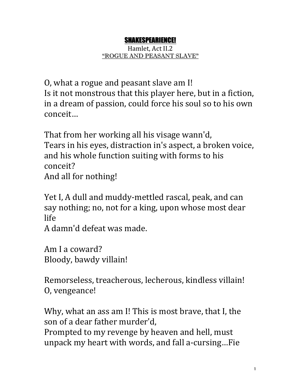## SHAKESPEARIENCE!

Hamlet, Act II.2 "ROGUE AND PEASANT SLAVE"

O, what a rogue and peasant slave am I! Is it not monstrous that this player here, but in a fiction, in a dream of passion, could force his soul so to his own conceit…

That from her working all his visage wann'd, Tears in his eyes, distraction in's aspect, a broken voice, and his whole function suiting with forms to his conceit? And all for nothing!

Yet I, A dull and muddy-mettled rascal, peak, and can say nothing; no, not for a king, upon whose most dear life

A damn'd defeat was made.

Am I a coward? Bloody, bawdy villain!

Remorseless, treacherous, lecherous, kindless villain! O, vengeance!

Why, what an ass am I! This is most brave, that I, the son of a dear father murder'd,

Prompted to my revenge by heaven and hell, must unpack my heart with words, and fall a-cursing...Fie